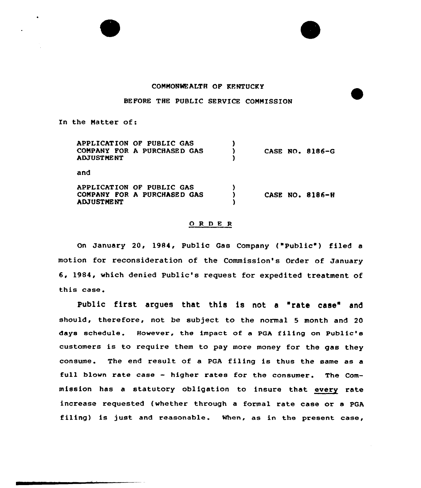

## COMMONWEALTH OF KENTUCKY

## BEFORE THE PUBLIC SERVICE COMMISSION

In the Matter of:

| APPLICATION OF PUBLIC GAS<br>COMPANY FOR A PURCHASED GAS<br><b>ADJUSTMENT</b> | CASE NO. 8186-G        |
|-------------------------------------------------------------------------------|------------------------|
| and                                                                           |                        |
| APPLICATION OF PUBLIC GAS<br>COMPANY FOR A PURCHASED GAS<br><b>ADJUSTMENT</b> | <b>CASE NO. 8186-H</b> |

## 0 <sup>R</sup> <sup>D</sup> E <sup>R</sup>

On January 20, 1984, Public Gas Company ("Public") filed a motion for reconsideration of the Commission's Order of January 6, 1984, which denied Public's request for expedited treatment of this case.

public first argues that this is not <sup>a</sup> "rate case" and should, therefore, not be subject to the normal 5 month and 20 days schedule. However, the impact of a PGA filing on Public's customers is to require them to pay more money for the gas they consume. The end result of a PGA filing is thus the same as a full blown rate case — higher rates for the consumer. The Commission has a statutory obligation to insure that every rate increase requested (whether through a formal rate case or a PGA filing) is just and reasonable. When, as in the present case,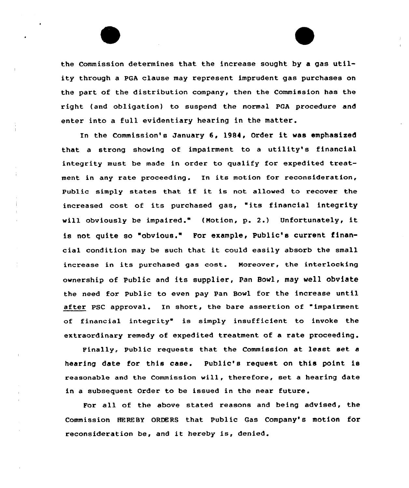the Commission determines that the increase sought by a gas utility through a PGA clause may represent imprudent gas purchases on the part of the distribution company, then the Commission has the right {and obligation) to suspend the normal PGA procedure and enter into a full evidentiary hearing in the matter.

In the Commission's January 6, 1984, Order it was emphasized that a strong showing of impairment to <sup>a</sup> utility's financial integrity must be made in order to qualify for expedited treatment in any rate proceeding. In its motion for reconsideration, Public simply states that if it is not allowed to recover the increased cost of its purchased gas, "its financial integrity will obviously be impaired." {Notion, p. 2.) Unfortunately, it is not quite so "obvious." For example, Public's current financial condition may be such that it could easily absorb the small increase in its purchased gas cost. Moreover, the interlocking ownership of Public and its supplier, Pan Bowl, may well obviate the need for Public to even pay Pan Bowl for the increase until after PSC approval. In short, the bare assertion of "impairment of financial integrity" is simply insufficient to invoke the extraordinary remedy of expedited treatment of a rate proceeding.

Finally, public requests that the Commission at least set a hearing date for this case. Public's request on this point is reasonable and the Commission will, therefore, set a hearing date in a subsequent Order to be issued in the near future.

For all of the above stated reasons and being advised, the Commission HEREBY ORDERS that Public Gas Company's motion for reconsideration be, and it hereby is, denied.